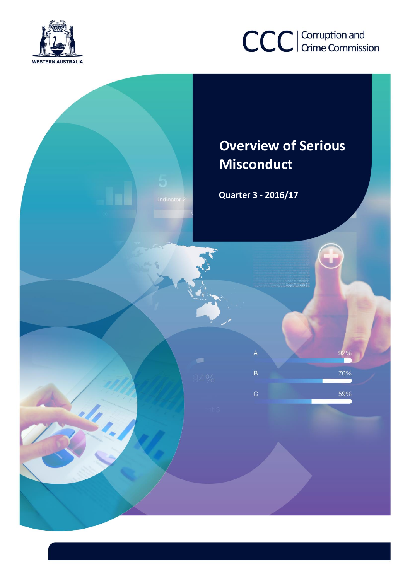



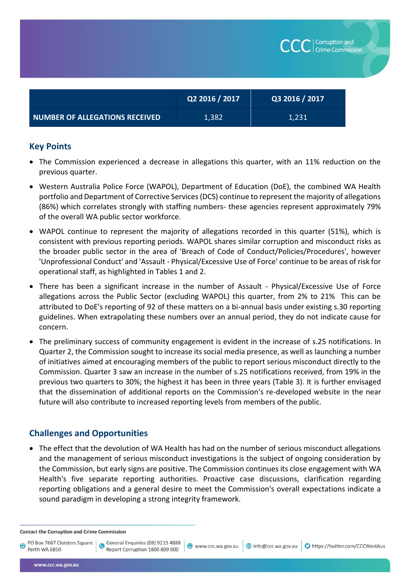|                                       | Q2 2016 / 2017 | Q3 2016 / 2017 |
|---------------------------------------|----------------|----------------|
| <b>NUMBER OF ALLEGATIONS RECEIVED</b> | 1,382          | 1,231          |

Corruption and **Crime Commission** 

## **Key Points**

- The Commission experienced a decrease in allegations this quarter, with an 11% reduction on the previous quarter.
- Western Australia Police Force (WAPOL), Department of Education (DoE), the combined WA Health portfolio and Department of Corrective Services (DCS) continue to represent the majority of allegations (86%) which correlates strongly with staffing numbers- these agencies represent approximately 79% of the overall WA public sector workforce.
- WAPOL continue to represent the majority of allegations recorded in this quarter (51%), which is consistent with previous reporting periods. WAPOL shares similar corruption and misconduct risks as the broader public sector in the area of 'Breach of Code of Conduct/Policies/Procedures', however 'Unprofessional Conduct' and 'Assault - Physical/Excessive Use of Force' continue to be areas of risk for operational staff, as highlighted in Tables 1 and 2.
- There has been a significant increase in the number of Assault Physical/Excessive Use of Force allegations across the Public Sector (excluding WAPOL) this quarter, from 2% to 21% This can be attributed to DoE's reporting of 92 of these matters on a bi-annual basis under existing s.30 reporting guidelines. When extrapolating these numbers over an annual period, they do not indicate cause for concern.
- The preliminary success of community engagement is evident in the increase of s.25 notifications. In Quarter 2, the Commission sought to increase its social media presence, as well as launching a number of initiatives aimed at encouraging members of the public to report serious misconduct directly to the Commission. Quarter 3 saw an increase in the number of s.25 notifications received, from 19% in the previous two quarters to 30%; the highest it has been in three years (Table 3). It is further envisaged that the dissemination of additional reports on the Commission's re-developed website in the near future will also contribute to increased reporting levels from members of the public.

## **Challenges and Opportunities**

• The effect that the devolution of WA Health has had on the number of serious misconduct allegations and the management of serious misconduct investigations is the subject of ongoing consideration by the Commission, but early signs are positive. The Commission continues its close engagement with WA Health's five separate reporting authorities. Proactive case discussions, clarification regarding reporting obligations and a general desire to meet the Commission's overall expectations indicate a sound paradigm in developing a strong integrity framework.

www.ccc.wa.gov.au

info@ccc.wa.gov.au

https://twitter.com/CCCWestAus

**Contact the Corruption and Crime Commission** 

General Enquiries (08) 9215 4888

Report Corruption 1800 809 000

PO Box 7667 Cloisters Square Perth WA 6850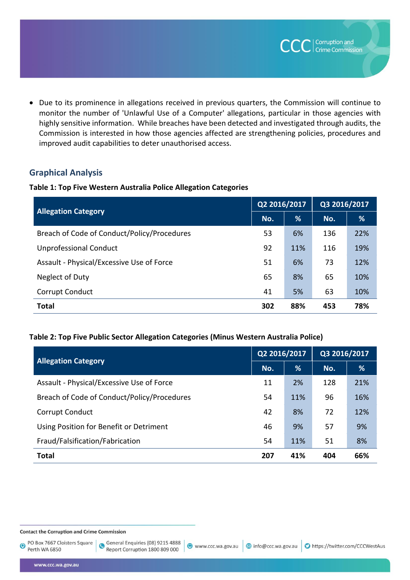Due to its prominence in allegations received in previous quarters, the Commission will continue to monitor the number of 'Unlawful Use of a Computer' allegations, particular in those agencies with highly sensitive information. While breaches have been detected and investigated through audits, the Commission is interested in how those agencies affected are strengthening policies, procedures and improved audit capabilities to deter unauthorised access.

## **Graphical Analysis**

#### **Table 1: Top Five Western Australia Police Allegation Categories**

| <b>Allegation Category</b>                  |     | Q2 2016/2017 |     | Q3 2016/2017 |  |
|---------------------------------------------|-----|--------------|-----|--------------|--|
|                                             |     | %            | No. | %            |  |
| Breach of Code of Conduct/Policy/Procedures | 53  | 6%           | 136 | 22%          |  |
| <b>Unprofessional Conduct</b>               | 92  | 11%          | 116 | 19%          |  |
| Assault - Physical/Excessive Use of Force   | 51  | 6%           | 73  | 12%          |  |
| Neglect of Duty                             | 65  | 8%           | 65  | 10%          |  |
| Corrupt Conduct                             | 41  | 5%           | 63  | 10%          |  |
| <b>Total</b>                                | 302 | 88%          | 453 | 78%          |  |

### **Table 2: Top Five Public Sector Allegation Categories (Minus Western Australia Police)**

|                                             | Q2 2016/2017 |     | Q3 2016/2017 |     |
|---------------------------------------------|--------------|-----|--------------|-----|
| <b>Allegation Category</b>                  |              | %   | No.          | %   |
| Assault - Physical/Excessive Use of Force   | 11           | 2%  | 128          | 21% |
| Breach of Code of Conduct/Policy/Procedures | 54           | 11% | 96           | 16% |
| Corrupt Conduct                             | 42           | 8%  | 72           | 12% |
| Using Position for Benefit or Detriment     | 46           | 9%  | 57           | 9%  |
| Fraud/Falsification/Fabrication             | 54           | 11% | 51           | 8%  |
| <b>Total</b>                                | 207          | 41% | 404          | 66% |

**Contact the Corruption and Crime Commission** 

PO Box 7667 Cloisters Square  $\overline{\mathbf{O}}$ Perth WA 6850

General Enquiries (08) 9215 4888  $\bullet$ Report Corruption 1800 809 000

**CCC** Crime Commiss

Crime Commission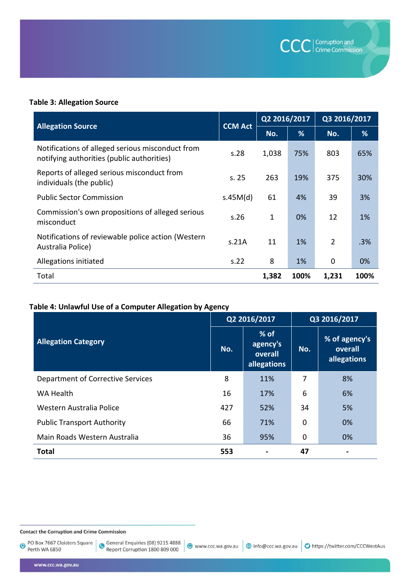

### **Table 3: Allegation Source**

|                                                                                                | <b>CCM Act</b> | Q2 2016/2017 |      | Q3 2016/2017   |      |
|------------------------------------------------------------------------------------------------|----------------|--------------|------|----------------|------|
| <b>Allegation Source</b>                                                                       |                | No.          | %    | No.            | %    |
| Notifications of alleged serious misconduct from<br>notifying authorities (public authorities) | s.28           | 1,038        | 75%  | 803            | 65%  |
| Reports of alleged serious misconduct from<br>individuals (the public)                         | s.25           | 263          | 19%  | 375            | 30%  |
| <b>Public Sector Commission</b>                                                                | s.45M(d)       | 61           | 4%   | 39             | 3%   |
| Commission's own propositions of alleged serious<br>misconduct                                 | s.26           | 1            | 0%   | 12             | 1%   |
| Notifications of reviewable police action (Western<br>Australia Police)                        | s.21A          | 11           | 1%   | $\overline{2}$ | .3%  |
| Allegations initiated                                                                          | s.22           | 8            | 1%   | 0              | 0%   |
| Total                                                                                          |                | 1,382        | 100% | 1,231          | 100% |

# Table 4: Unlawful Use of a Computer Allegation by Agency

|                                   |     | Q2 2016/2017                                 |     | Q3 2016/2017                            |  |  |
|-----------------------------------|-----|----------------------------------------------|-----|-----------------------------------------|--|--|
| <b>Allegation Category</b>        | No. | $%$ of<br>agency's<br>overall<br>allegations | No. | % of agency's<br>overall<br>allegations |  |  |
| Department of Corrective Services | 8   | 11%                                          | 7   | 8%                                      |  |  |
| WA Health                         | 16  | 17%                                          | 6   | 6%                                      |  |  |
| Western Australia Police          | 427 | 52%                                          | 34  | 5%                                      |  |  |
| <b>Public Transport Authority</b> | 66  | 71%                                          | 0   | 0%                                      |  |  |
| Main Roads Western Australia      | 36  | 95%                                          | 0   | 0%                                      |  |  |
| <b>Total</b>                      | 553 |                                              | 47  |                                         |  |  |

**Contact the Corruption and Crime Commission** 

PO Box 7667 Cloisters Square  $\bullet$ Perth WA 6850

General Enquiries (08) 9215 4888<br>Report Corruption 1800 809 000